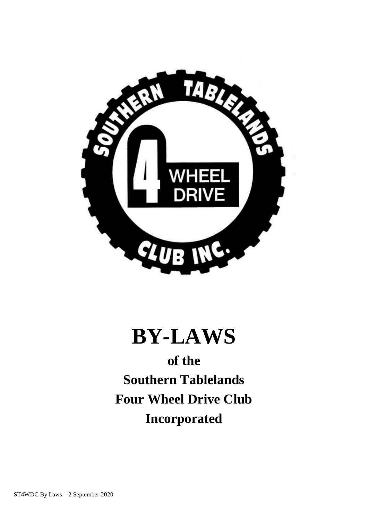

# **BY-LAWS**

**of the Southern Tablelands Four Wheel Drive Club Incorporated**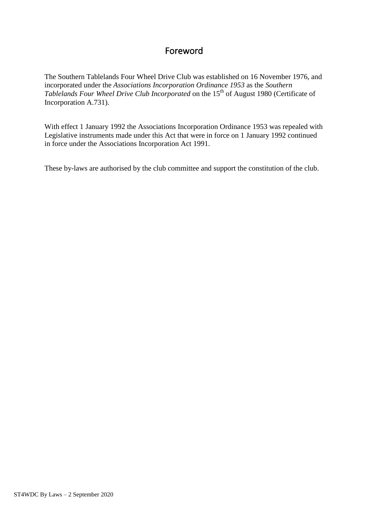# Foreword

The Southern Tablelands Four Wheel Drive Club was established on 16 November 1976, and incorporated under the *Associations Incorporation Ordinance 1953* as the *Southern Tablelands Four Wheel Drive Club Incorporated* on the 15th of August 1980 (Certificate of Incorporation A.731).

With effect 1 January 1992 the Associations Incorporation Ordinance 1953 was repealed with Legislative instruments made under this Act that were in force on 1 January 1992 continued in force under the Associations Incorporation Act 1991.

These by-laws are authorised by the club committee and support the constitution of the club.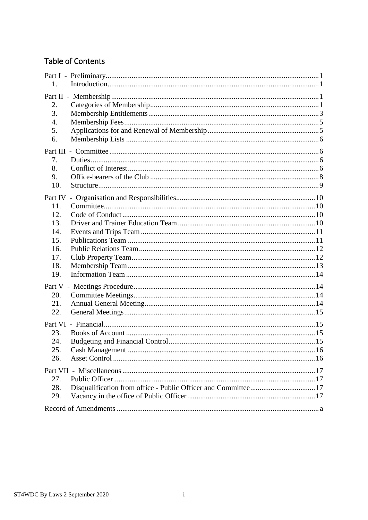# **Table of Contents**

| 1.                                                                     |  |
|------------------------------------------------------------------------|--|
| 2.<br>3.<br>4.<br>5.<br>6.                                             |  |
| 7.<br>8.<br>9.<br>10.                                                  |  |
| Part IV<br>11.<br>12.<br>13.<br>14.<br>15.<br>16.<br>17.<br>18.<br>19. |  |
| 20.<br>21.<br>22.                                                      |  |
| 23.<br>24.<br>25.<br>26.                                               |  |
| 27.<br>28.<br>29.                                                      |  |
|                                                                        |  |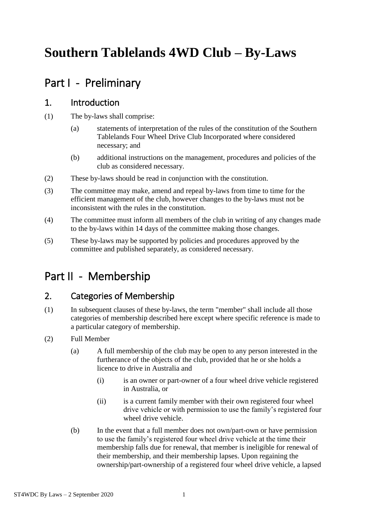# **Southern Tablelands 4WD Club – By-Laws**

# <span id="page-3-0"></span>Part I - Preliminary

#### <span id="page-3-1"></span>1. Introduction

- (1) The by-laws shall comprise:
	- (a) statements of interpretation of the rules of the constitution of the Southern Tablelands Four Wheel Drive Club Incorporated where considered necessary; and
	- (b) additional instructions on the management, procedures and policies of the club as considered necessary.
- (2) These by-laws should be read in conjunction with the constitution.
- (3) The committee may make, amend and repeal by-laws from time to time for the efficient management of the club, however changes to the by-laws must not be inconsistent with the rules in the constitution.
- (4) The committee must inform all members of the club in writing of any changes made to the by-laws within 14 days of the committee making those changes.
- (5) These by-laws may be supported by policies and procedures approved by the committee and published separately, as considered necessary.

# <span id="page-3-2"></span>Part II - Membership

# <span id="page-3-3"></span>2. Categories of Membership

- (1) In subsequent clauses of these by-laws, the term "member" shall include all those categories of membership described here except where specific reference is made to a particular category of membership.
- (2) Full Member
	- (a) A full membership of the club may be open to any person interested in the furtherance of the objects of the club, provided that he or she holds a licence to drive in Australia and
		- (i) is an owner or part-owner of a four wheel drive vehicle registered in Australia, or
		- (ii) is a current family member with their own registered four wheel drive vehicle or with permission to use the family's registered four wheel drive vehicle.
	- (b) In the event that a full member does not own/part-own or have permission to use the family's registered four wheel drive vehicle at the time their membership falls due for renewal, that member is ineligible for renewal of their membership, and their membership lapses. Upon regaining the ownership/part-ownership of a registered four wheel drive vehicle, a lapsed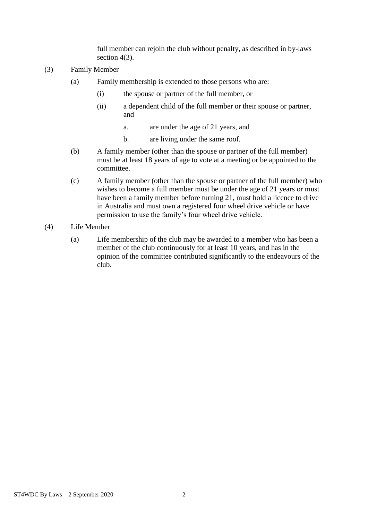full member can rejoin the club without penalty, as described in by-laws section 4(3).

- (3) Family Member
	- (a) Family membership is extended to those persons who are:
		- (i) the spouse or partner of the full member, or
		- (ii) a dependent child of the full member or their spouse or partner, and
			- a. are under the age of 21 years, and
			- b. are living under the same roof.
	- (b) A family member (other than the spouse or partner of the full member) must be at least 18 years of age to vote at a meeting or be appointed to the committee.
	- (c) A family member (other than the spouse or partner of the full member) who wishes to become a full member must be under the age of 21 years or must have been a family member before turning 21, must hold a licence to drive in Australia and must own a registered four wheel drive vehicle or have permission to use the family's four wheel drive vehicle.
- (4) Life Member
	- (a) Life membership of the club may be awarded to a member who has been a member of the club continuously for at least 10 years, and has in the opinion of the committee contributed significantly to the endeavours of the club.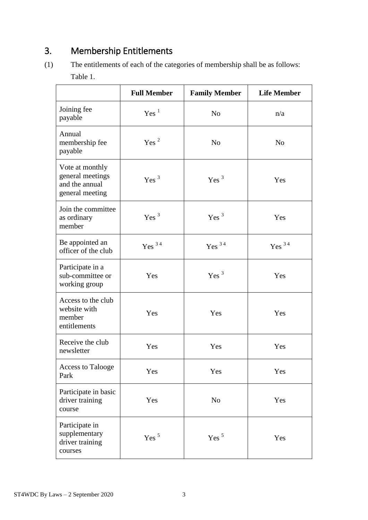# <span id="page-5-0"></span>3. Membership Entitlements

(1) The entitlements of each of the categories of membership shall be as follows: Table 1.

|                                                                          | <b>Full Member</b> | <b>Family Member</b> | <b>Life Member</b> |
|--------------------------------------------------------------------------|--------------------|----------------------|--------------------|
| Joining fee<br>payable                                                   | Yes <sup>1</sup>   | N <sub>o</sub>       | n/a                |
| Annual<br>membership fee<br>payable                                      | Yes <sup>2</sup>   | N <sub>0</sub>       | N <sub>0</sub>     |
| Vote at monthly<br>general meetings<br>and the annual<br>general meeting | Yes <sup>3</sup>   | Yes <sup>3</sup>     | Yes                |
| Join the committee<br>as ordinary<br>member                              | Yes <sup>3</sup>   | Yes <sup>3</sup>     | Yes                |
| Be appointed an<br>officer of the club                                   | Yes $^{34}$        | Yes $^{3\,4}$        | Yes $^{3\,4}$      |
| Participate in a<br>sub-committee or<br>working group                    | Yes                | Yes <sup>3</sup>     | Yes                |
| Access to the club<br>website with<br>member<br>entitlements             | Yes                | Yes                  | Yes                |
| Receive the club<br>newsletter                                           | Yes                | Yes                  | Yes                |
| <b>Access to Talooge</b><br>Park                                         | Yes                | Yes                  | Yes                |
| Participate in basic<br>driver training<br>course                        | Yes                | N <sub>0</sub>       | Yes                |
| Participate in<br>supplementary<br>driver training<br>courses            | Yes <sup>5</sup>   | Yes <sup>5</sup>     | Yes                |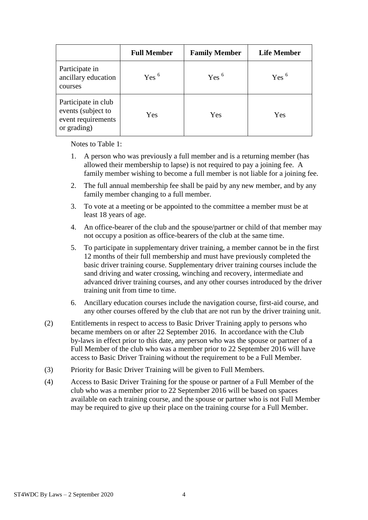|                                                                                | <b>Full Member</b> | <b>Family Member</b> | <b>Life Member</b> |
|--------------------------------------------------------------------------------|--------------------|----------------------|--------------------|
| Participate in<br>ancillary education<br>courses                               | Yes <sup>6</sup>   | Yes <sup>6</sup>     | Yes <sup>6</sup>   |
| Participate in club<br>events (subject to<br>event requirements<br>or grading) | Yes                | Yes                  | Yes                |

Notes to Table 1:

- 1. A person who was previously a full member and is a returning member (has allowed their membership to lapse) is not required to pay a joining fee. A family member wishing to become a full member is not liable for a joining fee.
- 2. The full annual membership fee shall be paid by any new member, and by any family member changing to a full member.
- 3. To vote at a meeting or be appointed to the committee a member must be at least 18 years of age.
- 4. An office-bearer of the club and the spouse/partner or child of that member may not occupy a position as office-bearers of the club at the same time.
- 5. To participate in supplementary driver training, a member cannot be in the first 12 months of their full membership and must have previously completed the basic driver training course. Supplementary driver training courses include the sand driving and water crossing, winching and recovery, intermediate and advanced driver training courses, and any other courses introduced by the driver training unit from time to time.
- 6. Ancillary education courses include the navigation course, first-aid course, and any other courses offered by the club that are not run by the driver training unit.
- (2) Entitlements in respect to access to Basic Driver Training apply to persons who became members on or after 22 September 2016. In accordance with the Club by-laws in effect prior to this date, any person who was the spouse or partner of a Full Member of the club who was a member prior to 22 September 2016 will have access to Basic Driver Training without the requirement to be a Full Member.
- (3) Priority for Basic Driver Training will be given to Full Members.
- (4) Access to Basic Driver Training for the spouse or partner of a Full Member of the club who was a member prior to 22 September 2016 will be based on spaces available on each training course, and the spouse or partner who is not Full Member may be required to give up their place on the training course for a Full Member.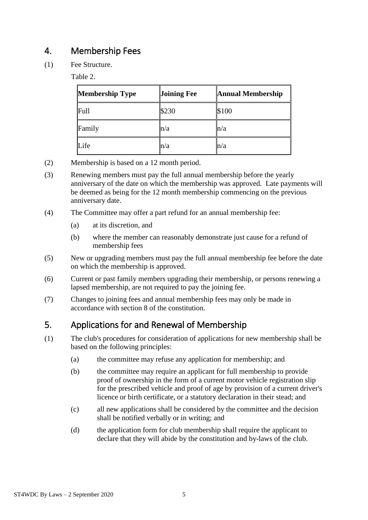# <span id="page-7-0"></span>4. Membership Fees

(1) Fee Structure.

Table 2.

| <b>Membership Type</b> | <b>Joining Fee</b> | <b>Annual Membership</b> |
|------------------------|--------------------|--------------------------|
| Full                   | \$230              | \$100                    |
| Family                 | ln/a               | n/a                      |
| Life                   | $\ln/a$            | n/a                      |

- (2) Membership is based on a 12 month period.
- (3) Renewing members must pay the full annual membership before the yearly anniversary of the date on which the membership was approved. Late payments will be deemed as being for the 12 month membership commencing on the previous anniversary date.
- (4) The Committee may offer a part refund for an annual membership fee:
	- (a) at its discretion, and
	- (b) where the member can reasonably demonstrate just cause for a refund of membership fees
- (5) New or upgrading members must pay the full annual membership fee before the date on which the membership is approved.
- (6) Current or past family members upgrading their membership, or persons renewing a lapsed membership, are not required to pay the joining fee.
- (7) Changes to joining fees and annual membership fees may only be made in accordance with section 8 of the constitution.

# <span id="page-7-1"></span>5. Applications for and Renewal of Membership

- (1) The club's procedures for consideration of applications for new membership shall be based on the following principles:
	- (a) the committee may refuse any application for membership; and
	- (b) the committee may require an applicant for full membership to provide proof of ownership in the form of a current motor vehicle registration slip for the prescribed vehicle and proof of age by provision of a current driver's licence or birth certificate, or a statutory declaration in their stead; and
	- (c) all new applications shall be considered by the committee and the decision shall be notified verbally or in writing; and
	- (d) the application form for club membership shall require the applicant to declare that they will abide by the constitution and by-laws of the club.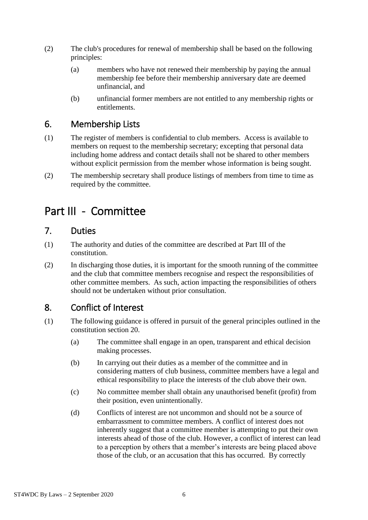- (2) The club's procedures for renewal of membership shall be based on the following principles:
	- (a) members who have not renewed their membership by paying the annual membership fee before their membership anniversary date are deemed unfinancial, and
	- (b) unfinancial former members are not entitled to any membership rights or entitlements.

#### <span id="page-8-0"></span>6. Membership Lists

- (1) The register of members is confidential to club members. Access is available to members on request to the membership secretary; excepting that personal data including home address and contact details shall not be shared to other members without explicit permission from the member whose information is being sought.
- (2) The membership secretary shall produce listings of members from time to time as required by the committee.

# <span id="page-8-1"></span>Part III - Committee

### <span id="page-8-2"></span>7. Duties

- (1) The authority and duties of the committee are described at Part III of the constitution.
- (2) In discharging those duties, it is important for the smooth running of the committee and the club that committee members recognise and respect the responsibilities of other committee members. As such, action impacting the responsibilities of others should not be undertaken without prior consultation.

# <span id="page-8-3"></span>8. Conflict of Interest

- (1) The following guidance is offered in pursuit of the general principles outlined in the constitution section 20.
	- (a) The committee shall engage in an open, transparent and ethical decision making processes.
	- (b) In carrying out their duties as a member of the committee and in considering matters of club business, committee members have a legal and ethical responsibility to place the interests of the club above their own.
	- (c) No committee member shall obtain any unauthorised benefit (profit) from their position, even unintentionally.
	- (d) Conflicts of interest are not uncommon and should not be a source of embarrassment to committee members. A conflict of interest does not inherently suggest that a committee member is attempting to put their own interests ahead of those of the club. However, a conflict of interest can lead to a perception by others that a member's interests are being placed above those of the club, or an accusation that this has occurred. By correctly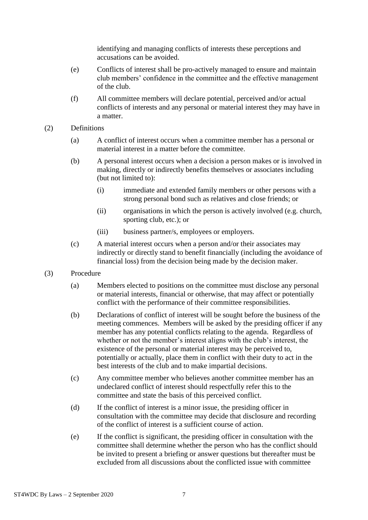identifying and managing conflicts of interests these perceptions and accusations can be avoided.

- (e) Conflicts of interest shall be pro-actively managed to ensure and maintain club members' confidence in the committee and the effective management of the club.
- (f) All committee members will declare potential, perceived and/or actual conflicts of interests and any personal or material interest they may have in a matter.
- (2) Definitions
	- (a) A conflict of interest occurs when a committee member has a personal or material interest in a matter before the committee.
	- (b) A personal interest occurs when a decision a person makes or is involved in making, directly or indirectly benefits themselves or associates including (but not limited to):
		- (i) immediate and extended family members or other persons with a strong personal bond such as relatives and close friends; or
		- (ii) organisations in which the person is actively involved (e.g. church, sporting club, etc.); or
		- (iii) business partner/s, employees or employers.
	- (c) A material interest occurs when a person and/or their associates may indirectly or directly stand to benefit financially (including the avoidance of financial loss) from the decision being made by the decision maker.
- (3) Procedure
	- (a) Members elected to positions on the committee must disclose any personal or material interests, financial or otherwise, that may affect or potentially conflict with the performance of their committee responsibilities.
	- (b) Declarations of conflict of interest will be sought before the business of the meeting commences. Members will be asked by the presiding officer if any member has any potential conflicts relating to the agenda. Regardless of whether or not the member's interest aligns with the club's interest, the existence of the personal or material interest may be perceived to, potentially or actually, place them in conflict with their duty to act in the best interests of the club and to make impartial decisions.
	- (c) Any committee member who believes another committee member has an undeclared conflict of interest should respectfully refer this to the committee and state the basis of this perceived conflict.
	- (d) If the conflict of interest is a minor issue, the presiding officer in consultation with the committee may decide that disclosure and recording of the conflict of interest is a sufficient course of action.
	- (e) If the conflict is significant, the presiding officer in consultation with the committee shall determine whether the person who has the conflict should be invited to present a briefing or answer questions but thereafter must be excluded from all discussions about the conflicted issue with committee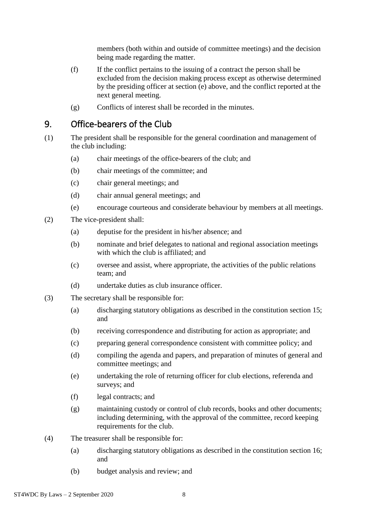members (both within and outside of committee meetings) and the decision being made regarding the matter.

- (f) If the conflict pertains to the issuing of a contract the person shall be excluded from the decision making process except as otherwise determined by the presiding officer at section (e) above, and the conflict reported at the next general meeting.
- (g) Conflicts of interest shall be recorded in the minutes.

#### <span id="page-10-0"></span>9. Office-bearers of the Club

- (1) The president shall be responsible for the general coordination and management of the club including:
	- (a) chair meetings of the office-bearers of the club; and
	- (b) chair meetings of the committee; and
	- (c) chair general meetings; and
	- (d) chair annual general meetings; and
	- (e) encourage courteous and considerate behaviour by members at all meetings.
- (2) The vice-president shall:
	- (a) deputise for the president in his/her absence; and
	- (b) nominate and brief delegates to national and regional association meetings with which the club is affiliated; and
	- (c) oversee and assist, where appropriate, the activities of the public relations team; and
	- (d) undertake duties as club insurance officer.
- (3) The secretary shall be responsible for:
	- (a) discharging statutory obligations as described in the constitution section 15; and
	- (b) receiving correspondence and distributing for action as appropriate; and
	- (c) preparing general correspondence consistent with committee policy; and
	- (d) compiling the agenda and papers, and preparation of minutes of general and committee meetings; and
	- (e) undertaking the role of returning officer for club elections, referenda and surveys; and
	- (f) legal contracts; and
	- (g) maintaining custody or control of club records, books and other documents; including determining, with the approval of the committee, record keeping requirements for the club.
- (4) The treasurer shall be responsible for:
	- (a) discharging statutory obligations as described in the constitution section 16; and
	- (b) budget analysis and review; and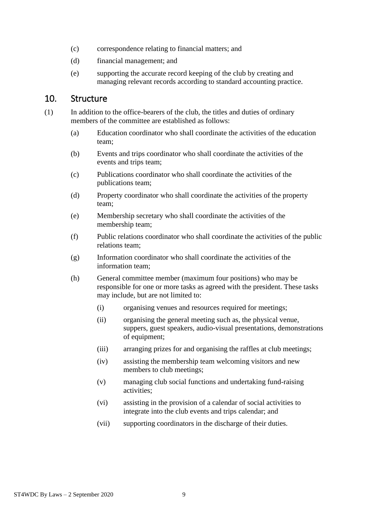- (c) correspondence relating to financial matters; and
- (d) financial management; and
- (e) supporting the accurate record keeping of the club by creating and managing relevant records according to standard accounting practice.

#### <span id="page-11-0"></span>10. Structure

- (1) In addition to the office-bearers of the club, the titles and duties of ordinary members of the committee are established as follows:
	- (a) Education coordinator who shall coordinate the activities of the education team;
	- (b) Events and trips coordinator who shall coordinate the activities of the events and trips team;
	- (c) Publications coordinator who shall coordinate the activities of the publications team;
	- (d) Property coordinator who shall coordinate the activities of the property team;
	- (e) Membership secretary who shall coordinate the activities of the membership team;
	- (f) Public relations coordinator who shall coordinate the activities of the public relations team;
	- (g) Information coordinator who shall coordinate the activities of the information team;
	- (h) General committee member (maximum four positions) who may be responsible for one or more tasks as agreed with the president. These tasks may include, but are not limited to:
		- (i) organising venues and resources required for meetings;
		- (ii) organising the general meeting such as, the physical venue, suppers, guest speakers, audio-visual presentations, demonstrations of equipment;
		- (iii) arranging prizes for and organising the raffles at club meetings;
		- (iv) assisting the membership team welcoming visitors and new members to club meetings;
		- (v) managing club social functions and undertaking fund-raising activities;
		- (vi) assisting in the provision of a calendar of social activities to integrate into the club events and trips calendar; and
		- (vii) supporting coordinators in the discharge of their duties.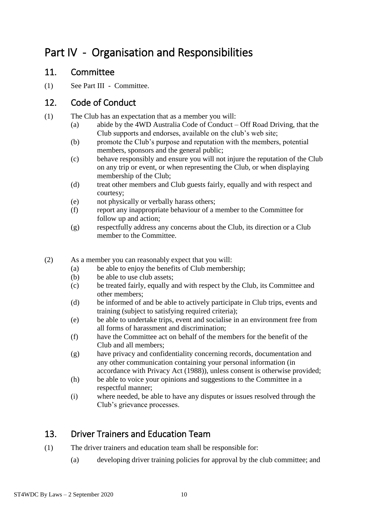# <span id="page-12-0"></span>Part IV - Organisation and Responsibilities

#### <span id="page-12-1"></span>11. Committee

(1) See Part III - Committee.

### <span id="page-12-2"></span>12. Code of Conduct

- (1) The Club has an expectation that as a member you will:
	- (a) abide by the 4WD Australia Code of Conduct Off Road Driving, that the Club supports and endorses, available on the club's web site;
	- (b) promote the Club's purpose and reputation with the members, potential members, sponsors and the general public;
	- (c) behave responsibly and ensure you will not injure the reputation of the Club on any trip or event, or when representing the Club, or when displaying membership of the Club;
	- (d) treat other members and Club guests fairly, equally and with respect and courtesy;
	- (e) not physically or verbally harass others;
	- (f) report any inappropriate behaviour of a member to the Committee for follow up and action;
	- (g) respectfully address any concerns about the Club, its direction or a Club member to the Committee.
- (2) As a member you can reasonably expect that you will:
	- (a) be able to enjoy the benefits of Club membership;
	- (b) be able to use club assets;
	- (c) be treated fairly, equally and with respect by the Club, its Committee and other members;
	- (d) be informed of and be able to actively participate in Club trips, events and training (subject to satisfying required criteria);
	- (e) be able to undertake trips, event and socialise in an environment free from all forms of harassment and discrimination;
	- (f) have the Committee act on behalf of the members for the benefit of the Club and all members;
	- (g) have privacy and confidentiality concerning records, documentation and any other communication containing your personal information (in accordance with Privacy Act (1988)), unless consent is otherwise provided;
	- (h) be able to voice your opinions and suggestions to the Committee in a respectful manner;
	- (i) where needed, be able to have any disputes or issues resolved through the Club's grievance processes.

# <span id="page-12-3"></span>13. Driver Trainers and Education Team

- (1) The driver trainers and education team shall be responsible for:
	- (a) developing driver training policies for approval by the club committee; and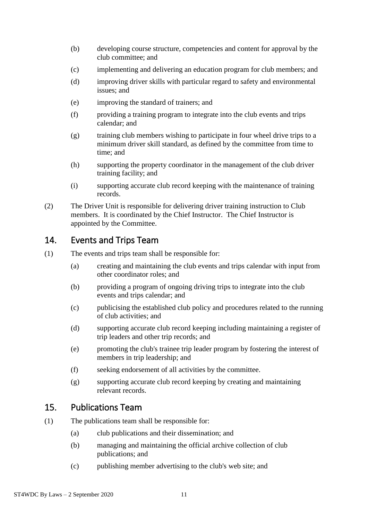- (b) developing course structure, competencies and content for approval by the club committee; and
- (c) implementing and delivering an education program for club members; and
- (d) improving driver skills with particular regard to safety and environmental issues; and
- (e) improving the standard of trainers; and
- (f) providing a training program to integrate into the club events and trips calendar; and
- (g) training club members wishing to participate in four wheel drive trips to a minimum driver skill standard, as defined by the committee from time to time; and
- (h) supporting the property coordinator in the management of the club driver training facility; and
- (i) supporting accurate club record keeping with the maintenance of training records.
- (2) The Driver Unit is responsible for delivering driver training instruction to Club members. It is coordinated by the Chief Instructor. The Chief Instructor is appointed by the Committee.

#### <span id="page-13-0"></span>14. Events and Trips Team

- (1) The events and trips team shall be responsible for:
	- (a) creating and maintaining the club events and trips calendar with input from other coordinator roles; and
	- (b) providing a program of ongoing driving trips to integrate into the club events and trips calendar; and
	- (c) publicising the established club policy and procedures related to the running of club activities; and
	- (d) supporting accurate club record keeping including maintaining a register of trip leaders and other trip records; and
	- (e) promoting the club's trainee trip leader program by fostering the interest of members in trip leadership; and
	- (f) seeking endorsement of all activities by the committee.
	- (g) supporting accurate club record keeping by creating and maintaining relevant records.

#### <span id="page-13-1"></span>15. Publications Team

- (1) The publications team shall be responsible for:
	- (a) club publications and their dissemination; and
	- (b) managing and maintaining the official archive collection of club publications; and
	- (c) publishing member advertising to the club's web site; and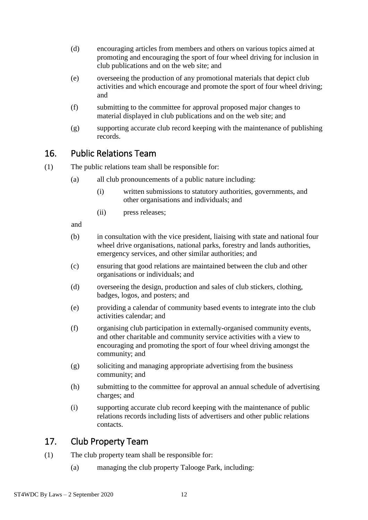- (d) encouraging articles from members and others on various topics aimed at promoting and encouraging the sport of four wheel driving for inclusion in club publications and on the web site; and
- (e) overseeing the production of any promotional materials that depict club activities and which encourage and promote the sport of four wheel driving; and
- (f) submitting to the committee for approval proposed major changes to material displayed in club publications and on the web site; and
- (g) supporting accurate club record keeping with the maintenance of publishing records.

#### <span id="page-14-0"></span>16. Public Relations Team

(1) The public relations team shall be responsible for:

- (a) all club pronouncements of a public nature including:
	- (i) written submissions to statutory authorities, governments, and other organisations and individuals; and
	- (ii) press releases;

and

- (b) in consultation with the vice president, liaising with state and national four wheel drive organisations, national parks, forestry and lands authorities, emergency services, and other similar authorities; and
- (c) ensuring that good relations are maintained between the club and other organisations or individuals; and
- (d) overseeing the design, production and sales of club stickers, clothing, badges, logos, and posters; and
- (e) providing a calendar of community based events to integrate into the club activities calendar; and
- (f) organising club participation in externally-organised community events, and other charitable and community service activities with a view to encouraging and promoting the sport of four wheel driving amongst the community; and
- (g) soliciting and managing appropriate advertising from the business community; and
- (h) submitting to the committee for approval an annual schedule of advertising charges; and
- (i) supporting accurate club record keeping with the maintenance of public relations records including lists of advertisers and other public relations contacts.

# <span id="page-14-1"></span>17. Club Property Team

- (1) The club property team shall be responsible for:
	- (a) managing the club property Talooge Park, including: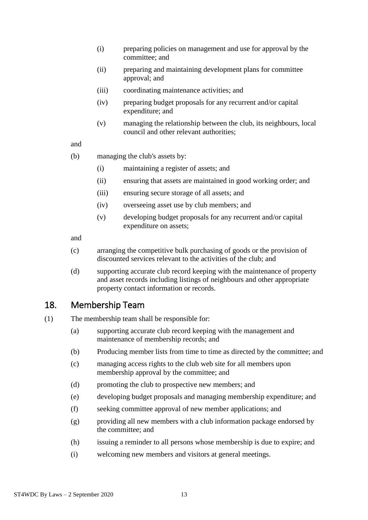- (i) preparing policies on management and use for approval by the committee; and
- (ii) preparing and maintaining development plans for committee approval; and
- (iii) coordinating maintenance activities; and
- (iv) preparing budget proposals for any recurrent and/or capital expenditure; and
- (v) managing the relationship between the club, its neighbours, local council and other relevant authorities;

#### and

- (b) managing the club's assets by:
	- (i) maintaining a register of assets; and
	- (ii) ensuring that assets are maintained in good working order; and
	- (iii) ensuring secure storage of all assets; and
	- (iv) overseeing asset use by club members; and
	- (v) developing budget proposals for any recurrent and/or capital expenditure on assets;

and

- (c) arranging the competitive bulk purchasing of goods or the provision of discounted services relevant to the activities of the club; and
- (d) supporting accurate club record keeping with the maintenance of property and asset records including listings of neighbours and other appropriate property contact information or records.

#### <span id="page-15-0"></span>18. Membership Team

- (1) The membership team shall be responsible for:
	- (a) supporting accurate club record keeping with the management and maintenance of membership records; and
	- (b) Producing member lists from time to time as directed by the committee; and
	- (c) managing access rights to the club web site for all members upon membership approval by the committee; and
	- (d) promoting the club to prospective new members; and
	- (e) developing budget proposals and managing membership expenditure; and
	- (f) seeking committee approval of new member applications; and
	- (g) providing all new members with a club information package endorsed by the committee; and
	- (h) issuing a reminder to all persons whose membership is due to expire; and
	- (i) welcoming new members and visitors at general meetings.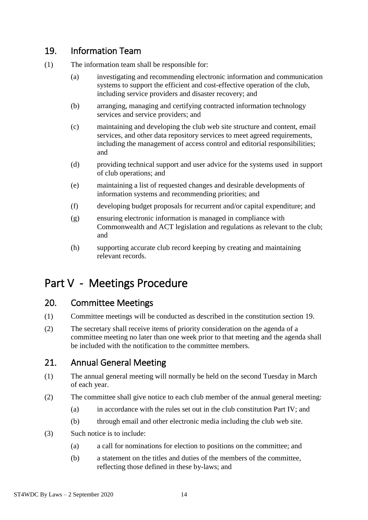### <span id="page-16-0"></span>19. Information Team

- (1) The information team shall be responsible for:
	- (a) investigating and recommending electronic information and communication systems to support the efficient and cost-effective operation of the club, including service providers and disaster recovery; and
	- (b) arranging, managing and certifying contracted information technology services and service providers; and
	- (c) maintaining and developing the club web site structure and content, email services, and other data repository services to meet agreed requirements, including the management of access control and editorial responsibilities; and
	- (d) providing technical support and user advice for the systems used in support of club operations; and
	- (e) maintaining a list of requested changes and desirable developments of information systems and recommending priorities; and
	- (f) developing budget proposals for recurrent and/or capital expenditure; and
	- (g) ensuring electronic information is managed in compliance with Commonwealth and ACT legislation and regulations as relevant to the club; and
	- (h) supporting accurate club record keeping by creating and maintaining relevant records.

# <span id="page-16-1"></span>Part V - Meetings Procedure

#### <span id="page-16-2"></span>20. Committee Meetings

- (1) Committee meetings will be conducted as described in the constitution section 19.
- (2) The secretary shall receive items of priority consideration on the agenda of a committee meeting no later than one week prior to that meeting and the agenda shall be included with the notification to the committee members.

#### <span id="page-16-3"></span>21. Annual General Meeting

- (1) The annual general meeting will normally be held on the second Tuesday in March of each year.
- (2) The committee shall give notice to each club member of the annual general meeting:
	- (a) in accordance with the rules set out in the club constitution Part IV; and
	- (b) through email and other electronic media including the club web site.
- (3) Such notice is to include:
	- (a) a call for nominations for election to positions on the committee; and
	- (b) a statement on the titles and duties of the members of the committee, reflecting those defined in these by-laws; and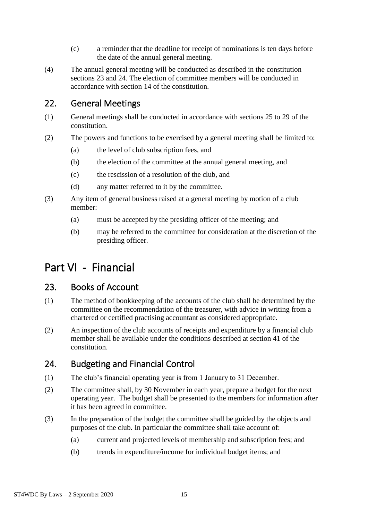- (c) a reminder that the deadline for receipt of nominations is ten days before the date of the annual general meeting.
- (4) The annual general meeting will be conducted as described in the constitution sections 23 and 24. The election of committee members will be conducted in accordance with section 14 of the constitution.

### <span id="page-17-0"></span>22. General Meetings

- (1) General meetings shall be conducted in accordance with sections 25 to 29 of the constitution.
- (2) The powers and functions to be exercised by a general meeting shall be limited to:
	- (a) the level of club subscription fees, and
	- (b) the election of the committee at the annual general meeting, and
	- (c) the rescission of a resolution of the club, and
	- (d) any matter referred to it by the committee.
- (3) Any item of general business raised at a general meeting by motion of a club member:
	- (a) must be accepted by the presiding officer of the meeting; and
	- (b) may be referred to the committee for consideration at the discretion of the presiding officer.

# <span id="page-17-1"></span>Part VI - Financial

#### <span id="page-17-2"></span>23. Books of Account

- (1) The method of bookkeeping of the accounts of the club shall be determined by the committee on the recommendation of the treasurer, with advice in writing from a chartered or certified practising accountant as considered appropriate.
- (2) An inspection of the club accounts of receipts and expenditure by a financial club member shall be available under the conditions described at section 41 of the constitution.

# <span id="page-17-3"></span>24. Budgeting and Financial Control

- (1) The club's financial operating year is from 1 January to 31 December.
- (2) The committee shall, by 30 November in each year, prepare a budget for the next operating year. The budget shall be presented to the members for information after it has been agreed in committee.
- (3) In the preparation of the budget the committee shall be guided by the objects and purposes of the club. In particular the committee shall take account of:
	- (a) current and projected levels of membership and subscription fees; and
	- (b) trends in expenditure/income for individual budget items; and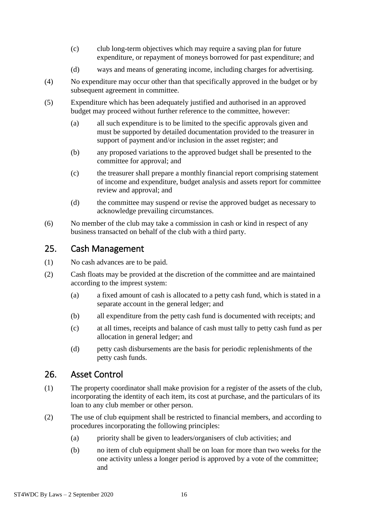- (c) club long-term objectives which may require a saving plan for future expenditure, or repayment of moneys borrowed for past expenditure; and
- (d) ways and means of generating income, including charges for advertising.
- (4) No expenditure may occur other than that specifically approved in the budget or by subsequent agreement in committee.
- (5) Expenditure which has been adequately justified and authorised in an approved budget may proceed without further reference to the committee, however:
	- (a) all such expenditure is to be limited to the specific approvals given and must be supported by detailed documentation provided to the treasurer in support of payment and/or inclusion in the asset register; and
	- (b) any proposed variations to the approved budget shall be presented to the committee for approval; and
	- (c) the treasurer shall prepare a monthly financial report comprising statement of income and expenditure, budget analysis and assets report for committee review and approval; and
	- (d) the committee may suspend or revise the approved budget as necessary to acknowledge prevailing circumstances.
- (6) No member of the club may take a commission in cash or kind in respect of any business transacted on behalf of the club with a third party.

#### <span id="page-18-0"></span>25. Cash Management

- (1) No cash advances are to be paid.
- (2) Cash floats may be provided at the discretion of the committee and are maintained according to the imprest system:
	- (a) a fixed amount of cash is allocated to a petty cash fund, which is stated in a separate account in the general ledger; and
	- (b) all expenditure from the petty cash fund is documented with receipts; and
	- (c) at all times, receipts and balance of cash must tally to petty cash fund as per allocation in general ledger; and
	- (d) petty cash disbursements are the basis for periodic replenishments of the petty cash funds.

#### <span id="page-18-1"></span>26. Asset Control

- (1) The property coordinator shall make provision for a register of the assets of the club, incorporating the identity of each item, its cost at purchase, and the particulars of its loan to any club member or other person.
- (2) The use of club equipment shall be restricted to financial members, and according to procedures incorporating the following principles:
	- (a) priority shall be given to leaders/organisers of club activities; and
	- (b) no item of club equipment shall be on loan for more than two weeks for the one activity unless a longer period is approved by a vote of the committee; and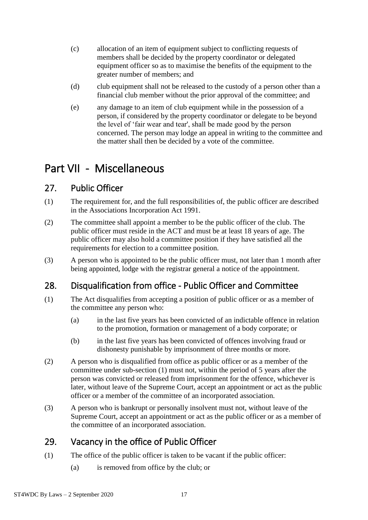- (c) allocation of an item of equipment subject to conflicting requests of members shall be decided by the property coordinator or delegated equipment officer so as to maximise the benefits of the equipment to the greater number of members; and
- (d) club equipment shall not be released to the custody of a person other than a financial club member without the prior approval of the committee; and
- (e) any damage to an item of club equipment while in the possession of a person, if considered by the property coordinator or delegate to be beyond the level of 'fair wear and tear', shall be made good by the person concerned. The person may lodge an appeal in writing to the committee and the matter shall then be decided by a vote of the committee.

# <span id="page-19-0"></span>Part VII - Miscellaneous

### <span id="page-19-1"></span>27. Public Officer

- (1) The requirement for, and the full responsibilities of, the public officer are described in the Associations Incorporation Act 1991.
- (2) The committee shall appoint a member to be the public officer of the club. The public officer must reside in the ACT and must be at least 18 years of age. The public officer may also hold a committee position if they have satisfied all the requirements for election to a committee position.
- (3) A person who is appointed to be the public officer must, not later than 1 month after being appointed, lodge with the registrar general a notice of the appointment.

# <span id="page-19-2"></span>28. Disqualification from office - Public Officer and Committee

- (1) The Act disqualifies from accepting a position of public officer or as a member of the committee any person who:
	- (a) in the last five years has been convicted of an indictable offence in relation to the promotion, formation or management of a body corporate; or
	- (b) in the last five years has been convicted of offences involving fraud or dishonesty punishable by imprisonment of three months or more.
- (2) A person who is disqualified from office as public officer or as a member of the committee under sub-section (1) must not, within the period of 5 years after the person was convicted or released from imprisonment for the offence, whichever is later, without leave of the Supreme Court, accept an appointment or act as the public officer or a member of the committee of an incorporated association.
- (3) A person who is bankrupt or personally insolvent must not, without leave of the Supreme Court, accept an appointment or act as the public officer or as a member of the committee of an incorporated association.

# <span id="page-19-3"></span>29. Vacancy in the office of Public Officer

- (1) The office of the public officer is taken to be vacant if the public officer:
	- (a) is removed from office by the club; or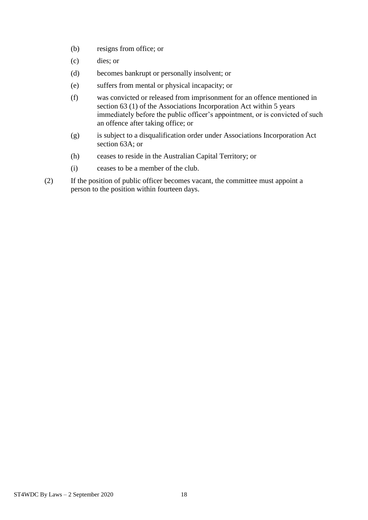- (b) resigns from office; or
- (c) dies; or
- (d) becomes bankrupt or personally insolvent; or
- (e) suffers from mental or physical incapacity; or
- (f) was convicted or released from imprisonment for an offence mentioned in section 63 (1) of the Associations Incorporation Act within 5 years immediately before the public officer's appointment, or is convicted of such an offence after taking office; or
- (g) is subject to a disqualification order under Associations Incorporation Act section 63A; or
- (h) ceases to reside in the Australian Capital Territory; or
- (i) ceases to be a member of the club.
- (2) If the position of public officer becomes vacant, the committee must appoint a person to the position within fourteen days.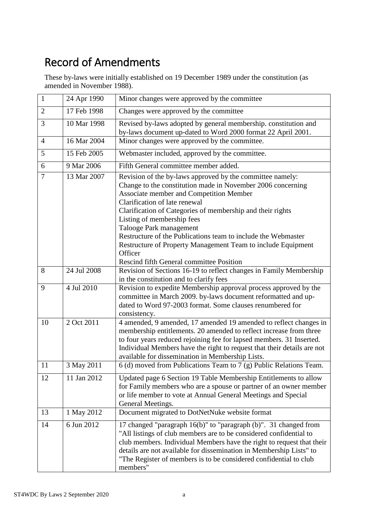# <span id="page-21-0"></span>Record of Amendments

These by-laws were initially established on 19 December 1989 under the constitution (as amended in November 1988).

| $\mathbf{1}$   | 24 Apr 1990 | Minor changes were approved by the committee                                                                                                                                                                                                                                                                                                                                                                                                                                                                               |
|----------------|-------------|----------------------------------------------------------------------------------------------------------------------------------------------------------------------------------------------------------------------------------------------------------------------------------------------------------------------------------------------------------------------------------------------------------------------------------------------------------------------------------------------------------------------------|
| $\overline{2}$ | 17 Feb 1998 | Changes were approved by the committee                                                                                                                                                                                                                                                                                                                                                                                                                                                                                     |
| 3              | 10 Mar 1998 | Revised by-laws adopted by general membership. constitution and<br>by-laws document up-dated to Word 2000 format 22 April 2001.                                                                                                                                                                                                                                                                                                                                                                                            |
| $\overline{4}$ | 16 Mar 2004 | Minor changes were approved by the committee.                                                                                                                                                                                                                                                                                                                                                                                                                                                                              |
| 5              | 15 Feb 2005 | Webmaster included, approved by the committee.                                                                                                                                                                                                                                                                                                                                                                                                                                                                             |
| 6              | 9 Mar 2006  | Fifth General committee member added.                                                                                                                                                                                                                                                                                                                                                                                                                                                                                      |
| $\overline{7}$ | 13 Mar 2007 | Revision of the by-laws approved by the committee namely:<br>Change to the constitution made in November 2006 concerning<br>Associate member and Competition Member<br>Clarification of late renewal<br>Clarification of Categories of membership and their rights<br>Listing of membership fees<br>Talooge Park management<br>Restructure of the Publications team to include the Webmaster<br>Restructure of Property Management Team to include Equipment<br>Officer<br><b>Rescind fifth General committee Position</b> |
| 8              | 24 Jul 2008 | Revision of Sections 16-19 to reflect changes in Family Membership<br>in the constitution and to clarify fees                                                                                                                                                                                                                                                                                                                                                                                                              |
| 9              | 4 Jul 2010  | Revision to expedite Membership approval process approved by the<br>committee in March 2009. by-laws document reformatted and up-<br>dated to Word 97-2003 format. Some clauses renumbered for<br>consistency.                                                                                                                                                                                                                                                                                                             |
| 10             | 2 Oct 2011  | 4 amended, 9 amended, 17 amended 19 amended to reflect changes in<br>membership entitlements. 20 amended to reflect increase from three<br>to four years reduced rejoining fee for lapsed members. 31 Inserted.<br>Individual Members have the right to request that their details are not<br>available for dissemination in Membership Lists.                                                                                                                                                                             |
| 11             | 3 May 2011  | 6 (d) moved from Publications Team to 7 (g) Public Relations Team.                                                                                                                                                                                                                                                                                                                                                                                                                                                         |
| 12             | 11 Jan 2012 | Updated page 6 Section 19 Table Membership Entitlements to allow<br>for Family members who are a spouse or partner of an owner member<br>or life member to vote at Annual General Meetings and Special<br>General Meetings.                                                                                                                                                                                                                                                                                                |
| 13             | 1 May 2012  | Document migrated to DotNetNuke website format                                                                                                                                                                                                                                                                                                                                                                                                                                                                             |
| 14             | 6 Jun 2012  | 17 changed "paragraph 16(b)" to "paragraph (b)". 31 changed from<br>"All listings of club members are to be considered confidential to<br>club members. Individual Members have the right to request that their<br>details are not available for dissemination in Membership Lists" to<br>"The Register of members is to be considered confidential to club<br>members"                                                                                                                                                    |